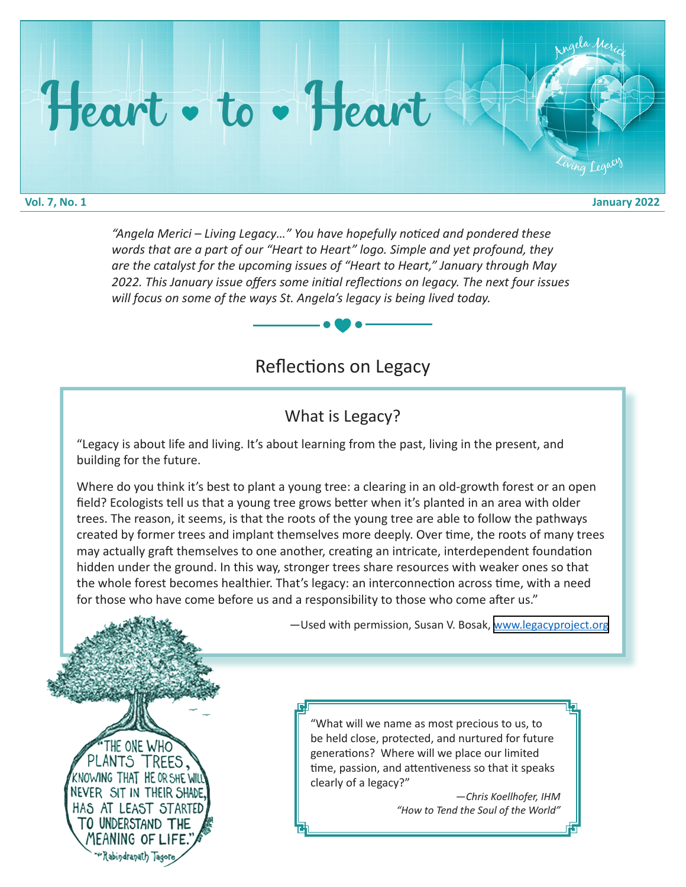## Heart • to • Heart

**Vol. 7, No. 1 January 2022**

<sup>A</sup>ng<sup>e</sup>l<sup>a</sup> <sup>M</sup><sup>e</sup>ric<sup>i</sup>

ing Legac

*"Angela Merici – Living Legacy…" You have hopefully noticed and pondered these words that are a part of our "Heart to Heart" logo. Simple and yet profound, they are the catalyst for the upcoming issues of "Heart to Heart," January through May 2022. This January issue offers some initial reflections on legacy. The next four issues will focus on some of the ways St. Angela's legacy is being lived today.* 

## Reflections on Legacy

## What is Legacy?

"Legacy is about life and living. It's about learning from the past, living in the present, and building for the future.

Where do you think it's best to plant a young tree: a clearing in an old-growth forest or an open field? Ecologists tell us that a young tree grows better when it's planted in an area with older trees. The reason, it seems, is that the roots of the young tree are able to follow the pathways created by former trees and implant themselves more deeply. Over time, the roots of many trees may actually graft themselves to one another, creating an intricate, interdependent foundation hidden under the ground. In this way, stronger trees share resources with weaker ones so that the whole forest becomes healthier. That's legacy: an interconnection across time, with a need for those who have come before us and a responsibility to those who come after us."



—Used with permission, Susan V. Bosak, [www.legacyproject.org](http://www.legacyproject.org)

"What will we name as most precious to us, to be held close, protected, and nurtured for future generations? Where will we place our limited time, passion, and attentiveness so that it speaks clearly of a legacy?"

> *—Chris Koellhofer, IHM "How to Tend the Soul of the World"*